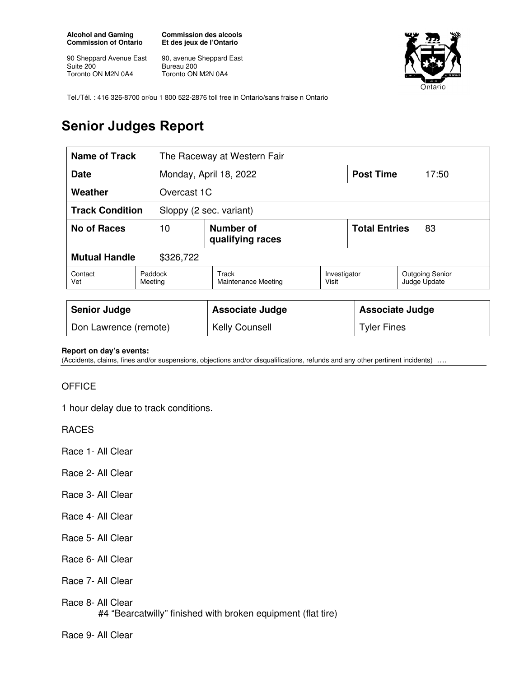**Alcohol and Gaming Commission of Ontario** 

90 Sheppard Avenue East Suite 200 Toronto ON M2N 0A4

**Commission des alcools Et des jeux de l'Ontario** 

90, avenue Sheppard East Bureau 200 Toronto ON M2N 0A4



Tel./Tél. : 416 326-8700 or/ou 1 800 522-2876 toll free in Ontario/sans fraise n Ontario

## **Senior Judges Report**

| <b>Name of Track</b>                              |                                     | The Raceway at Western Fair  |                       |                            |                                        |
|---------------------------------------------------|-------------------------------------|------------------------------|-----------------------|----------------------------|----------------------------------------|
| Date                                              |                                     | Monday, April 18, 2022       |                       | <b>Post Time</b>           | 17:50                                  |
| Weather                                           | Overcast 1C                         |                              |                       |                            |                                        |
| <b>Track Condition</b><br>Sloppy (2 sec. variant) |                                     |                              |                       |                            |                                        |
| No of Races                                       | Number of<br>10<br>qualifying races |                              |                       | <b>Total Entries</b><br>83 |                                        |
| <b>Mutual Handle</b><br>\$326,722                 |                                     |                              |                       |                            |                                        |
| Contact<br>Vet                                    | Paddock<br>Meeting                  | Track<br>Maintenance Meeting | Investigator<br>Visit |                            | <b>Outgoing Senior</b><br>Judge Update |
|                                                   |                                     |                              |                       |                            |                                        |
| <b>Senior Judge</b>                               |                                     | <b>Associate Judge</b>       |                       | <b>Associate Judge</b>     |                                        |
| Don Lawrence (remote)                             |                                     | <b>Kelly Counsell</b>        |                       | <b>Tyler Fines</b>         |                                        |

## **Report on day's events:**

(Accidents, claims, fines and/or suspensions, objections and/or disqualifications, refunds and any other pertinent incidents) ….

## **OFFICE**

1 hour delay due to track conditions.

RACES

Race 1- All Clear

- Race 2- All Clear
- Race 3- All Clear
- Race 4- All Clear
- Race 5- All Clear
- Race 6- All Clear
- Race 7- All Clear
- Race 8- All Clear

#4 "Bearcatwilly" finished with broken equipment (flat tire)